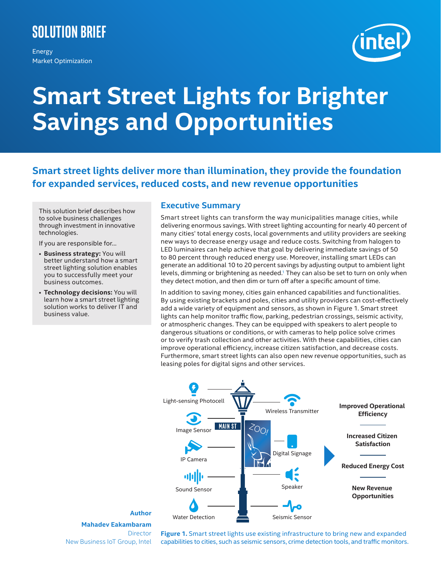# **Solution Brief**

Energy Market Optimization



# **Smart Street Lights for Brighter Savings and Opportunities**

**Smart street lights deliver more than illumination, they provide the foundation for expanded services, reduced costs, and new revenue opportunities**

This solution brief describes how to solve business challenges through investment in innovative technologies.

If you are responsible for…

- **Business strategy:** You will better understand how a smart street lighting solution enables you to successfully meet your business outcomes.
- **Technology decisions:** You will learn how a smart street lighting solution works to deliver IT and business value.

## **Executive Summary**

Smart street lights can transform the way municipalities manage cities, while delivering enormous savings. With street lighting accounting for nearly 40 percent of many cities' total energy costs, local governments and utility providers are seeking new ways to decrease energy usage and reduce costs. Switching from halogen to LED luminaires can help achieve that goal by delivering immediate savings of 50 to 80 percent through reduced energy use. Moreover, installing smart LEDs can generate an additional 10 to 20 percent savings by adjusting output to ambient light levels, dimming or brightening as needed.<sup>1</sup> They can also be set to turn on only when they detect motion, and then dim or turn off after a specific amount of time.

In addition to saving money, cities gain enhanced capabilities and functionalities. By using existing brackets and poles, cities and utility providers can cost-effectively add a wide variety of equipment and sensors, as shown in Figure 1. Smart street lights can help monitor traffic flow, parking, pedestrian crossings, seismic activity, or atmospheric changes. They can be equipped with speakers to alert people to dangerous situations or conditions, or with cameras to help police solve crimes or to verify trash collection and other activities. With these capabilities, cities can improve operational efficiency, increase citizen satisfaction, and decrease costs. Furthermore, smart street lights can also open new revenue opportunities, such as leasing poles for digital signs and other services.



#### **Author Mahadev Eakambaram Director** New Business IoT Group, Intel

**Figure 1.** Smart street lights use existing infrastructure to bring new and expanded capabilities to cities, such as seismic sensors, crime detection tools, and traffic monitors.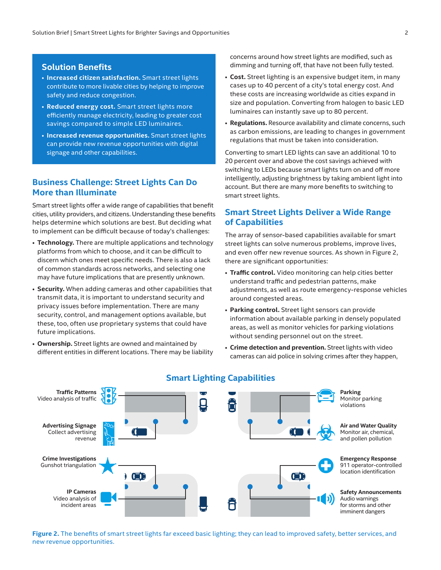#### **Solution Benefits**

- **Increased citizen satisfaction.** Smart street lights contribute to more livable cities by helping to improve safety and reduce congestion.
- **Reduced energy cost.** Smart street lights more efficiently manage electricity, leading to greater cost savings compared to simple LED luminaires.
- **Increased revenue opportunities.** Smart street lights can provide new revenue opportunities with digital signage and other capabilities.

# **Business Challenge: Street Lights Can Do More than Illuminate**

Smart street lights offer a wide range of capabilities that benefit cities, utility providers, and citizens. Understanding these benefits helps determine which solutions are best. But deciding what to implement can be difficult because of today's challenges:

- **Technology.** There are multiple applications and technology platforms from which to choose, and it can be difficult to discern which ones meet specific needs. There is also a lack of common standards across networks, and selecting one may have future implications that are presently unknown.
- **Security.** When adding cameras and other capabilities that transmit data, it is important to understand security and privacy issues before implementation. There are many security, control, and management options available, but these, too, often use proprietary systems that could have future implications.
- **Ownership.** Street lights are owned and maintained by different entities in different locations. There may be liability

concerns around how street lights are modified, such as dimming and turning off, that have not been fully tested.

- **Cost.** Street lighting is an expensive budget item, in many cases up to 40 percent of a city's total energy cost. And these costs are increasing worldwide as cities expand in size and population. Converting from halogen to basic LED luminaires can instantly save up to 80 percent.
- **Regulations.** Resource availability and climate concerns, such as carbon emissions, are leading to changes in government regulations that must be taken into consideration.

Converting to smart LED lights can save an additional 10 to 20 percent over and above the cost savings achieved with switching to LEDs because smart lights turn on and off more intelligently, adjusting brightness by taking ambient light into account. But there are many more benefits to switching to smart street lights.

#### **Smart Street Lights Deliver a Wide Range of Capabilities**

The array of sensor-based capabilities available for smart street lights can solve numerous problems, improve lives, and even offer new revenue sources. As shown in Figure 2, there are significant opportunities:

- **Traffic control.** Video monitoring can help cities better understand traffic and pedestrian patterns, make adjustments, as well as route emergency-response vehicles around congested areas.
- **Parking control.** Street light sensors can provide information about available parking in densely populated areas, as well as monitor vehicles for parking violations without sending personnel out on the street.
- **Crime detection and prevention.** Street lights with video cameras can aid police in solving crimes after they happen,



# **Smart Lighting Capabilities**

**Figure 2.** The benefits of smart street lights far exceed basic lighting; they can lead to improved safety, better services, and new revenue opportunities.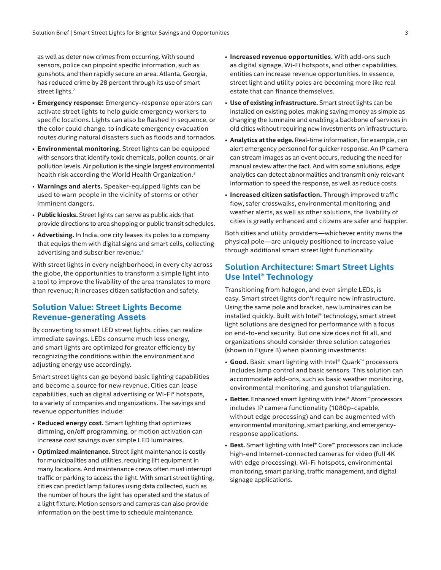as well as deter new crimes from occurring. With sound sensors, police can pinpoint specific information, such as gunshots, and then rapidly secure an area. Atlanta, Georgia, has reduced crime by 28 percent through its use of smart street lights.<sup>2</sup>

- **Emergency response:** Emergency-response operators can activate street lights to help guide emergency workers to specific locations. Lights can also be flashed in sequence, or the color could change, to indicate emergency evacuation routes during natural disasters such as floods and tornados.
- **Environmental monitoring.** Street lights can be equipped with sensors that identify toxic chemicals, pollen counts, or air pollution levels. Air pollution is the single largest environmental health risk according the World Health Organization.<sup>[3](#page-3-2)</sup>
- **Warnings and alerts.** Speaker-equipped lights can be used to warn people in the vicinity of storms or other imminent dangers.
- **Public kiosks.** Street lights can serve as public aids that provide directions to area shopping or public transit schedules.
- **Advertising.** In India, one city leases its poles to a company that equips them with digital signs and smart cells, collecting advertising and subscriber revenue.[4](#page-3-3)

With street lights in every neighborhood, in every city across the globe, the opportunities to transform a simple light into a tool to improve the livability of the area translates to more than revenue; it increases citizen satisfaction and safety.

## **Solution Value: Street Lights Become Revenue-generating Assets**

By converting to smart LED street lights, cities can realize immediate savings. LEDs consume much less energy, and smart lights are optimized for greater efficiency by recognizing the conditions within the environment and adjusting energy use accordingly.

Smart street lights can go beyond basic lighting capabilities and become a source for new revenue. Cities can lease capabilities, such as digital advertising or Wi-Fi\* hotspots, to a variety of companies and organizations. The savings and revenue opportunities include:

- **Reduced energy cost.** Smart lighting that optimizes dimming, on/off programming, or motion activation can increase cost savings over simple LED luminaires.
- **Optimized maintenance.** Street light maintenance is costly for municipalities and utilities, requiring lift equipment in many locations. And maintenance crews often must interrupt traffic or parking to access the light. With smart street lighting, cities can predict lamp failures using data collected, such as the number of hours the light has operated and the status of a light fixture. Motion sensors and cameras can also provide information on the best time to schedule maintenance.
- **Increased revenue opportunities.** With add-ons such as digital signage, Wi-Fi hotspots, and other capabilities, entities can increase revenue opportunities. In essence, street light and utility poles are becoming more like real estate that can finance themselves.
- **Use of existing infrastructure.** Smart street lights can be installed on existing poles, making saving money as simple as changing the luminaire and enabling a backbone of services in old cities without requiring new investments on infrastructure.
- **Analytics at the edge.** Real-time information, for example, can alert emergency personnel for quicker response. An IP camera can stream images as an event occurs, reducing the need for manual review after the fact. And with some solutions, edge analytics can detect abnormalities and transmit only relevant information to speed the response, as well as reduce costs.
- **Increased citizen satisfaction.** Through improved traffic flow, safer crosswalks, environmental monitoring, and weather alerts, as well as other solutions, the livability of cities is greatly enhanced and citizens are safer and happier.

Both cities and utility providers—whichever entity owns the physical pole—are uniquely positioned to increase value through additional smart street light functionality.

# **Solution Architecture: Smart Street Lights Use Intel® Technology**

Transitioning from halogen, and even simple LEDs, is easy. Smart street lights don't require new infrastructure. Using the same pole and bracket, new luminaires can be installed quickly. Built with Intel® technology, smart street light solutions are designed for performance with a focus on end-to-end security. But one size does not fit all, and organizations should consider three solution categories (shown in Figure 3) when planning investments:

- **Good.** Basic smart lighting with Intel® Quark™ processors includes lamp control and basic sensors. This solution can accommodate add-ons, such as basic weather monitoring, environmental monitoring, and gunshot triangulation.
- **Better.** Enhanced smart lighting with Intel® Atom™ processors includes IP camera functionality (1080p-capable, without edge processing) and can be augmented with environmental monitoring, smart parking, and emergencyresponse applications.
- **Best.** Smart lighting with Intel® Core™ processors can include high-end Internet-connected cameras for video (full 4K with edge processing), Wi-Fi hotspots, environmental monitoring, smart parking, traffic management, and digital signage applications.